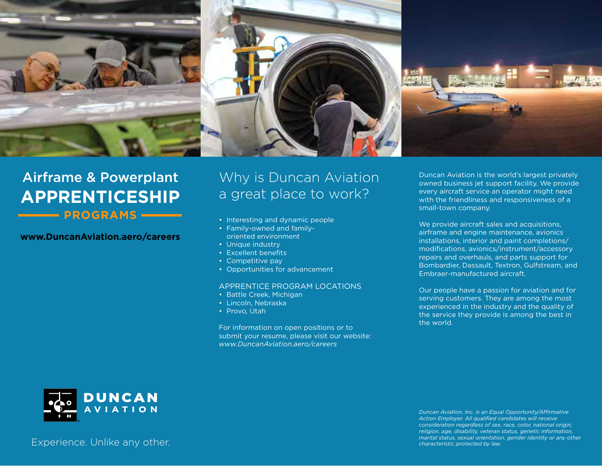

# Airframe & Powerplant **APPRENTICESHIP NOGRAMS**

### **www.DuncanAviation.aero/careers**

# Why is Duncan Aviation a great place to work?

- Interesting and dynamic people
- Family-owned and familyoriented environment
- Unique industry
- Excellent benefits
- Competitive pay
- Opportunities for advancement

#### APPRENTICE PROGRAM LOCATIONS

- Battle Creek, Michigan
- Lincoln, Nebraska
- Provo, Utah

For information on open positions or to submit your resume, please visit our website: *www.DuncanAviation.aero/careers*

Duncan Aviation is the world's largest privately owned business jet support facility. We provide every aircraft service an operator might need with the friendliness and responsiveness of a small-town company.

We provide aircraft sales and acquisitions, airframe and engine maintenance, avionics installations, interior and paint completions/ modifications, avionics/instrument/accessory repairs and overhauls, and parts support for Bombardier, Dassault, Textron, Gulfstream, and Embraer-manufactured aircraft.

Our people have a passion for aviation and for serving customers. They are among the most experienced in the industry and the quality of the service they provide is among the best in the world.



*Duncan Aviation, Inc. is an Equal Opportunity/Affirmative Action Employer. All qualified candidates will receive consideration regardless of sex, race, color, national origin, religion, age, disability, veteran status, genetic information, marital status, sexual orientation, gender identity or any other characteristic protected by law.*

Experience. Unlike any other.